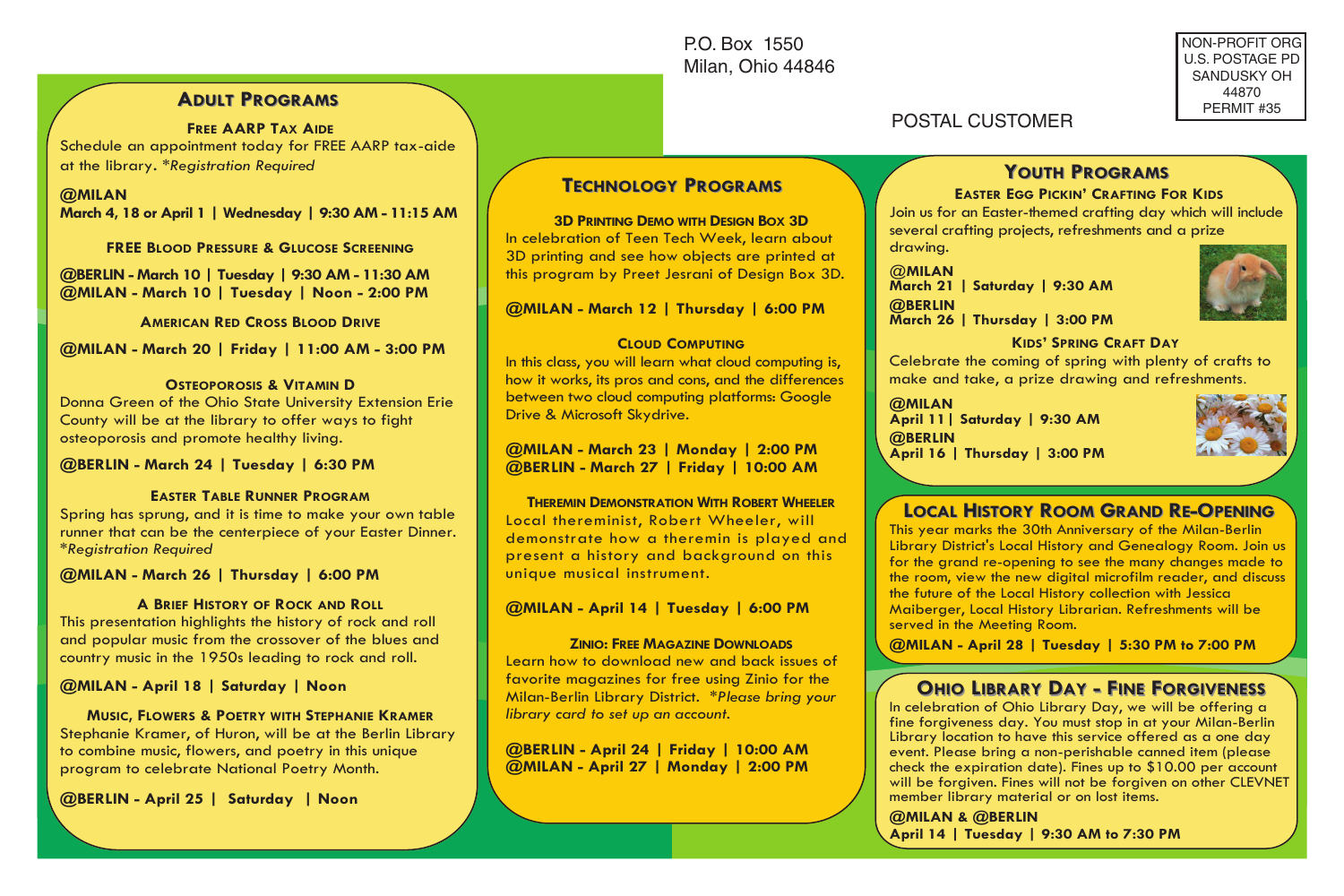P.O. Box 1550 Milan, Ohio 44846 NON-PROFIT ORG U.S. POSTAGE PD SANDUSKY OH 44870 PERMIT #35

## **ADULT PROGRAMS**

**FREE AARP TAX AIDE** Schedule an appointment today for FREE AARP tax-aide at the library. *\*Registration Required*

**@MILAN March 4, 18 or April 1 | Wednesday | 9:30 AM - 11:15 AM**

**FREE BLOOD PRESSURE & GLUCOSE SCREENING**

**@BERLIN - March 10 | Tuesday | 9:30 AM - 11:30 AM @MILAN - March 10 | Tuesday | Noon - 2:00 PM**

**AMERICAN RED CROSS BLOOD DRIVE**

**@MILAN - March 20 | Friday | 11:00 AM - 3:00 PM**

#### **OSTEOPOROSIS & VITAMIN D**

Donna Green of the Ohio State University Extension Erie County will be at the library to offer ways to fight osteoporosis and promote healthy living.

**@BERLIN - March 24 | Tuesday | 6:30 PM** 

#### **EASTER TABLE RUNNER PROGRAM**

Spring has sprung, and it is time to make your own table runner that can be the centerpiece of your Easter Dinner. *\*Registration Required*

**@MILAN - March 26 | Thursday | 6:00 PM**

#### **A BRIEF HISTORY OF ROCK AND ROLL**

This presentation highlights the history of rock and roll and popular music from the crossover of the blues and country music in the 1950s leading to rock and roll.

**@MILAN - April 18 | Saturday | Noon** 

**MUSIC, FLOWERS & POETRY WITH STEPHANIE KRAMER** Stephanie Kramer, of Huron, will be at the Berlin Library to combine music, flowers, and poetry in this unique program to celebrate National Poetry Month.

**@BERLIN - April 25 | Saturday | Noon**

# **TECHNOLOGY ECHNOLOGY PROGRAMS ROGRAMS**

#### **3D PRINTING DEMO WITH DESIGN BOX 3D**

In celebration of Teen Tech Week, learn about 3D printing and see how objects are printed at this program by Preet Jesrani of Design Box 3D.

**@MILAN - March 12 | Thursday | 6:00 PM**

#### **CLOUD COMPUTING**

In this class, you will learn what cloud computing is, how it works, its pros and cons, and the differences between two cloud computing platforms: Google Drive & Microsoft Skydrive.

**@MILAN - March 23 | Monday | 2:00 PM @BERLIN - March 27 | Friday | 10:00 AM**

**THEREMIN DEMONSTRATION WITH ROBERT WHEELER** Local thereminist, Robert Wheeler, will demonstrate how a theremin is played and present a history and background on this unique musical instrument.

#### **@MILAN - April 14 | Tuesday | 6:00 PM**

#### **ZINIO: FREE MAGAZINE DOWNLOADS**

Learn how to download new and back issues of favorite magazines for free using Zinio for the Milan-Berlin Library District. *\*Please bring your library card to set up an account.*

**@BERLIN - April 24 | Friday | 10:00 AM @MILAN - April 27 | Monday | 2:00 PM**

# **YOUTH PROGRAMS**

### **EASTER EGG PICKIN' CRAFTING FOR KIDS**

Join us for an Easter-themed crafting day which will include several crafting projects, refreshments and a prize drawing.

@**MILAN March 21 | Saturday | 9:30 AM @BERLIN March 26 | Thursday | 3:00 PM**

POSTAL CUSTOMER



#### **KIDS' SPRING CRAFT DAY**

Celebrate the coming of spring with plenty of crafts to make and take, a prize drawing and refreshments.

**@MILAN April 11| Saturday | 9:30 AM @BERLIN April 16 | Thursday | 3:00 PM**



# **LOCAL HISTORY ROOM GRAND RE-OPENING**

This year marks the 30th Anniversary of the Milan-Berlin Library District's Local History and Genealogy Room. Join us for the grand re-opening to see the many changes made to the room, view the new digital microfilm reader, and discuss the future of the Local History collection with Jessica Maiberger, Local History Librarian. Refreshments will be served in the Meeting Room.

**@MILAN - April 28 | Tuesday | 5:30 PM to 7:00 PM**

# **OHIO LIBRARY DAY - FINE FORGIVENESS ORGIVENESS**

In celebration of Ohio Library Day, we will be offering a fine forgiveness day. You must stop in at your Milan-Berlin Library location to have this service offered as a one day event. Please bring a non-perishable canned item (please check the expiration date). Fines up to \$10.00 per account will be forgiven. Fines will not be forgiven on other CLEVNET member library material or on lost items.

**@MILAN & @BERLIN April 14 | Tuesday | 9:30 AM to 7:30 PM**